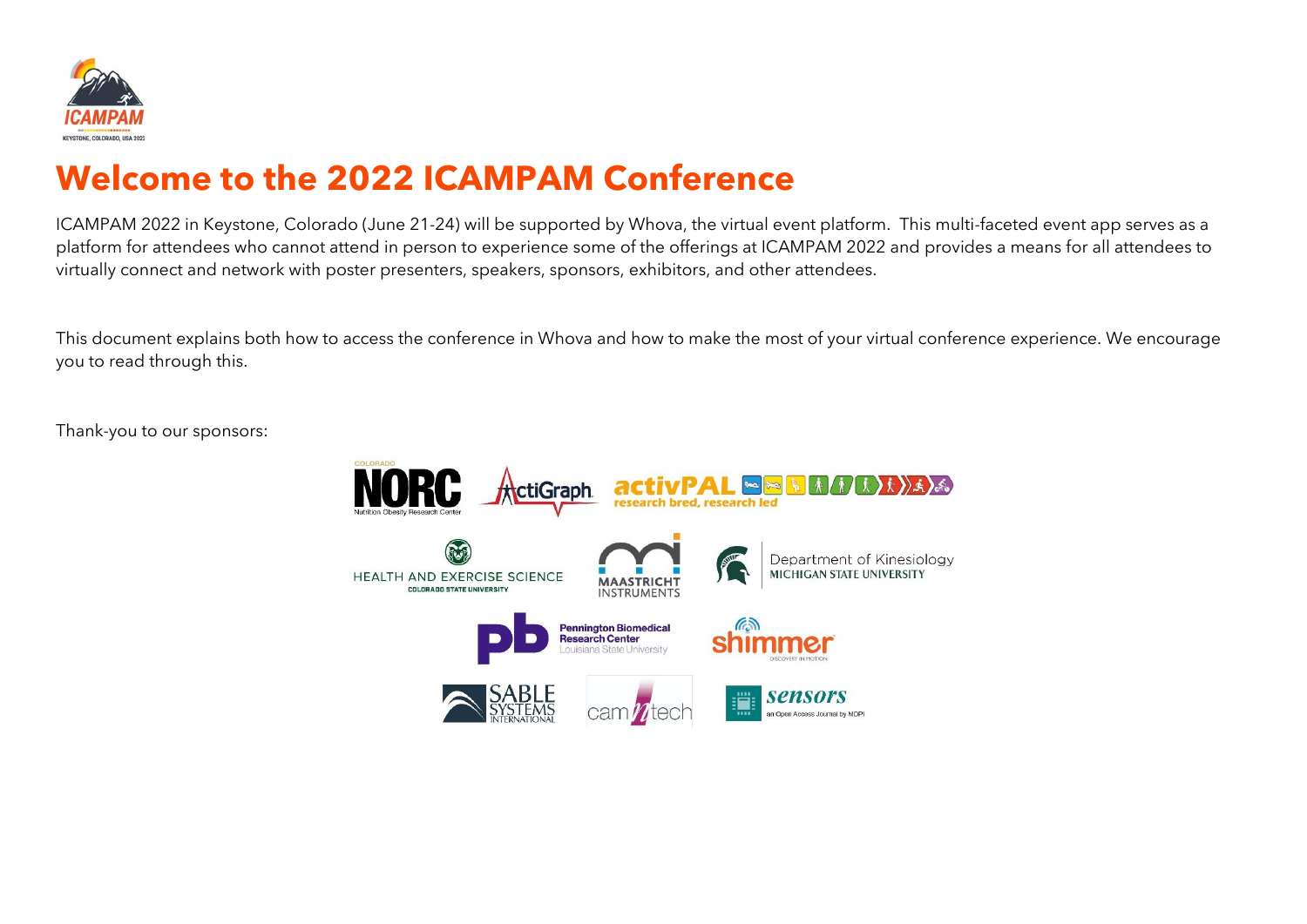

# **Welcome to the 2022 ICAMPAM Conference**

ICAMPAM 2022 in Keystone, Colorado (June 21-24) will be supported by Whova, the virtual event platform. This multi-faceted event app serves as a platform for attendees who cannot attend in person to experience some of the offerings at ICAMPAM 2022 and provides a means for all attendees to virtually connect and network with poster presenters, speakers, sponsors, exhibitors, and other attendees.

This document explains both how to access the conference in Whova and how to make the most of your virtual conference experience. We encourage you to read through this.

Thank-you to our sponsors:

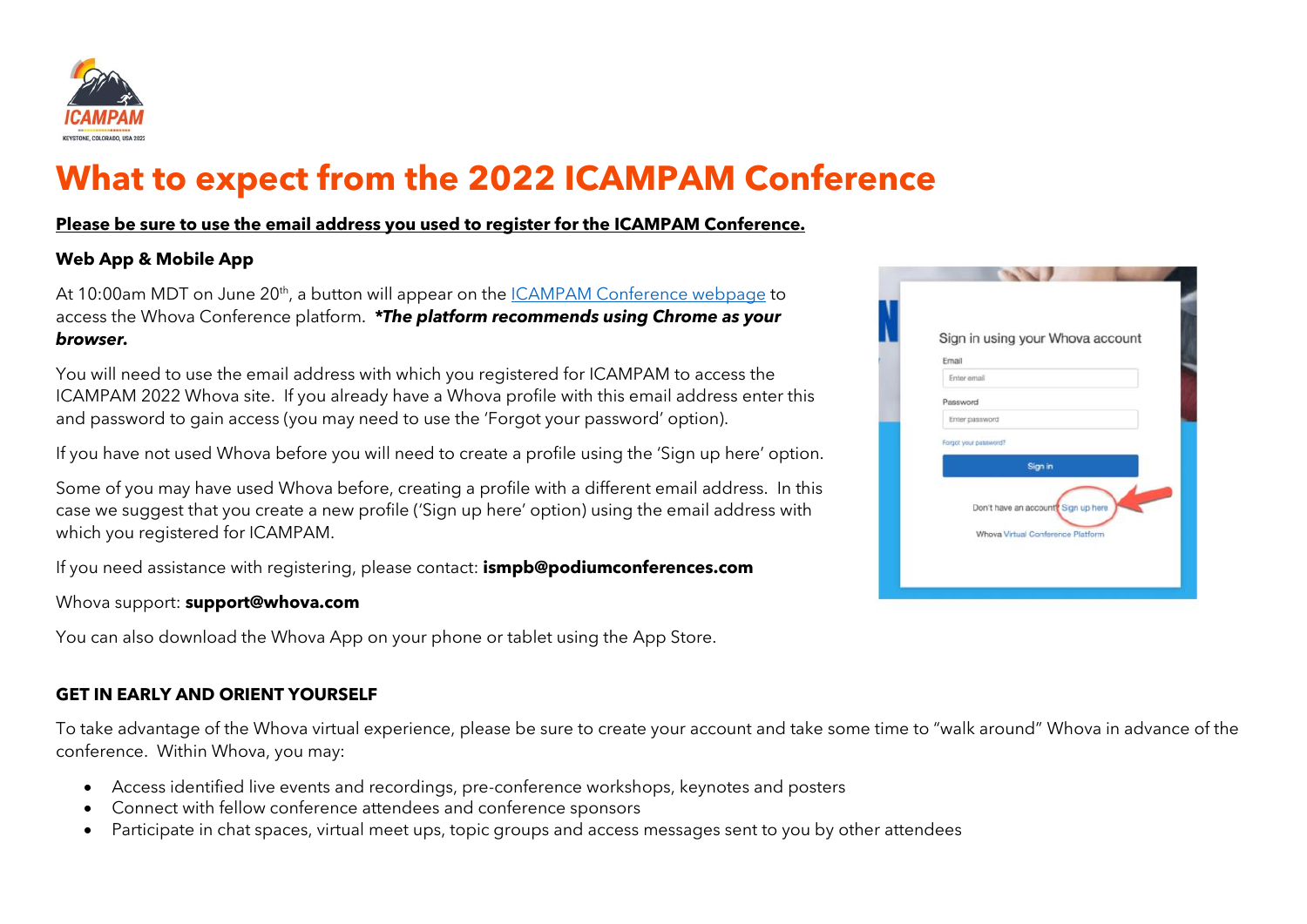

# **What to expect from the 2022 ICAMPAM Conference**

## **Please be sure to use the email address you used to register for the ICAMPAM Conference.**

## **Web App & Mobile App**

At 10:00am MDT on June 20<sup>th</sup>, a button will appear on the <u>ICAMPAM Conference webpage</u> to access the Whova Conference platform. *\*The platform recommends using Chrome as your browser.*

You will need to use the email address with which you registered for ICAMPAM to access the ICAMPAM 2022 Whova site. If you already have a Whova profile with this email address enter this and password to gain access (you may need to use the 'Forgot your password' option).

If you have not used Whova before you will need to create a profile using the 'Sign up here' option.

Some of you may have used Whova before, creating a profile with a different email address. In this case we suggest that you create a new profile ('Sign up here' option) using the email address with which you registered for ICAMPAM.

If you need assistance with registering, please contact: **ismpb@podiumconferences.com**

#### Whova support: **support@whova.com**

You can also download the Whova App on your phone or tablet using the App Store.

# **GET IN EARLY AND ORIENT YOURSELF**

To take advantage of the Whova virtual experience, please be sure to create your account and take some time to "walk around" Whova in advance of the conference. Within Whova, you may:

- Access identified live events and recordings, pre-conference workshops, keynotes and posters
- Connect with fellow conference attendees and conference sponsors
- Participate in chat spaces, virtual meet ups, topic groups and access messages sent to you by other attendees

| Email    | Sign in using your Whova account                                         |  |
|----------|--------------------------------------------------------------------------|--|
|          | Enter email                                                              |  |
| Password |                                                                          |  |
|          | Enter password                                                           |  |
|          | Forgot your password?                                                    |  |
|          | Sign in                                                                  |  |
|          | Don't have an account? Sign up here<br>Whova Virtual Conference Platform |  |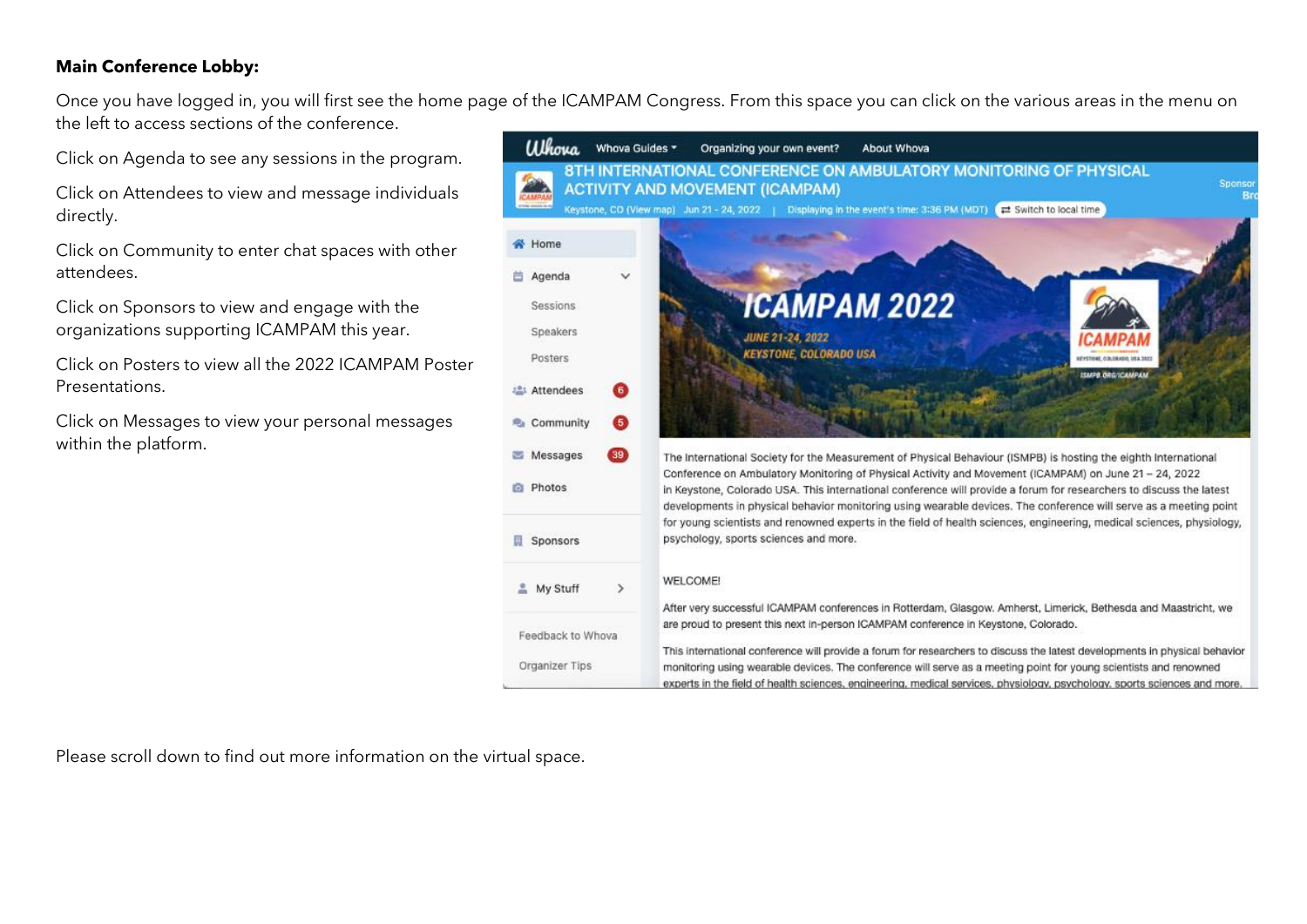## **Main Conference Lobby:**

Once you have logged in, you will first see the home page of the ICAMPAM Congress. From this space you can click on the various areas in the menu on the left to access sections of the conference.

Click on Agenda to see any sessions in the program.

Click on Attendees to view and message individuals directly.

Click on Community to enter chat spaces with other attendees.

Click on Sponsors to view and engage with the organizations supporting ICAMPAM this year.

Click on Posters to view all the 2022 ICAMPAM Poster Presentations.

Click on Messages to view your personal messages within the platform.



Please scroll down to find out more information on the virtual space.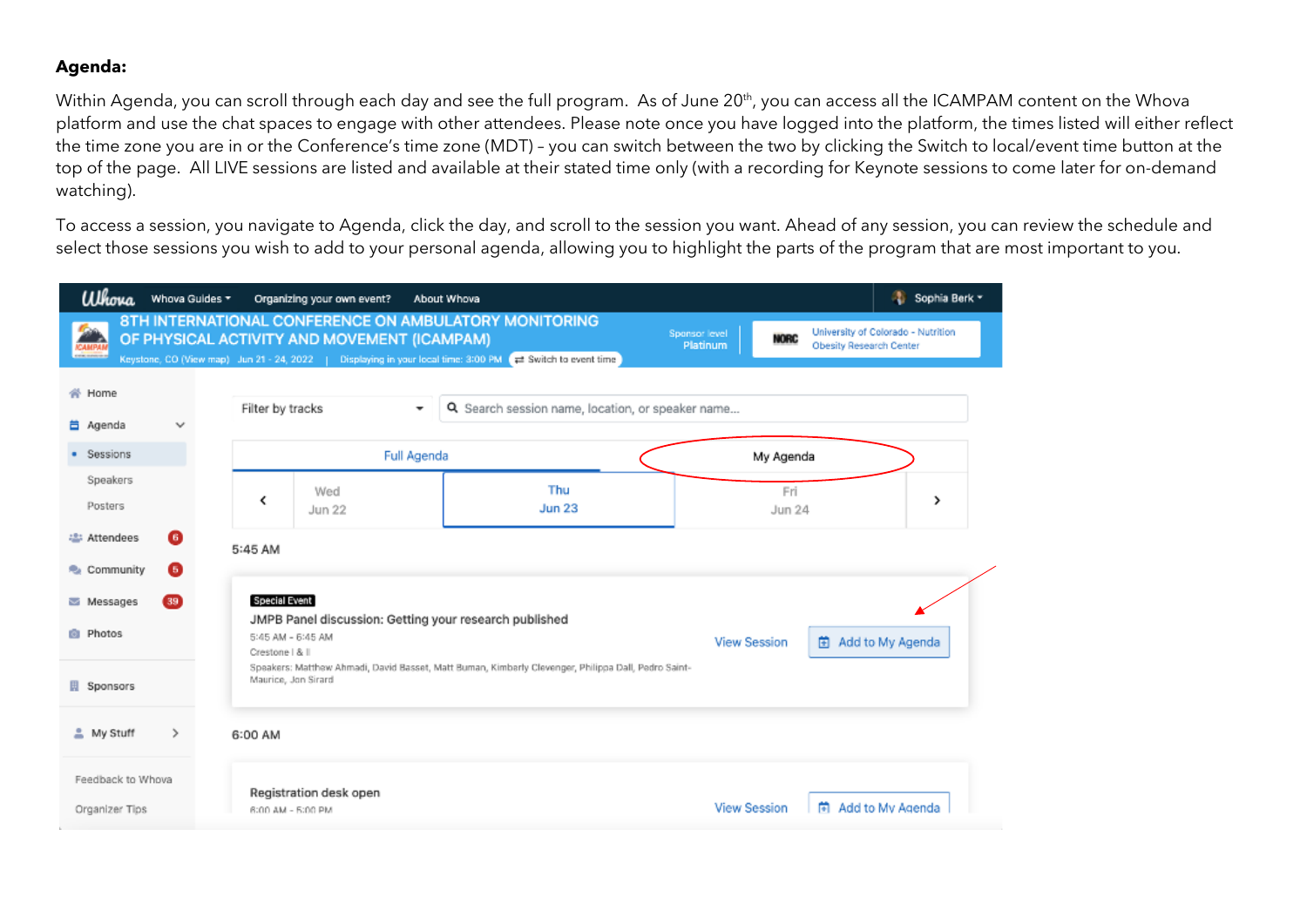### **Agenda:**

Within Agenda, you can scroll through each day and see the full program. As of June 20<sup>th</sup>, you can access all the ICAMPAM content on the Whova platform and use the chat spaces to engage with other attendees. Please note once you have logged into the platform, the times listed will either reflect the time zone you are in or the Conference's time zone (MDT) – you can switch between the two by clicking the Switch to local/event time button at the top of the page. All LIVE sessions are listed and available at their stated time only (with a recording for Keynote sessions to come later for on-demand watching).

To access a session, you navigate to Agenda, click the day, and scroll to the session you want. Ahead of any session, you can review the schedule and select those sessions you wish to add to your personal agenda, allowing you to highlight the parts of the program that are most important to you.

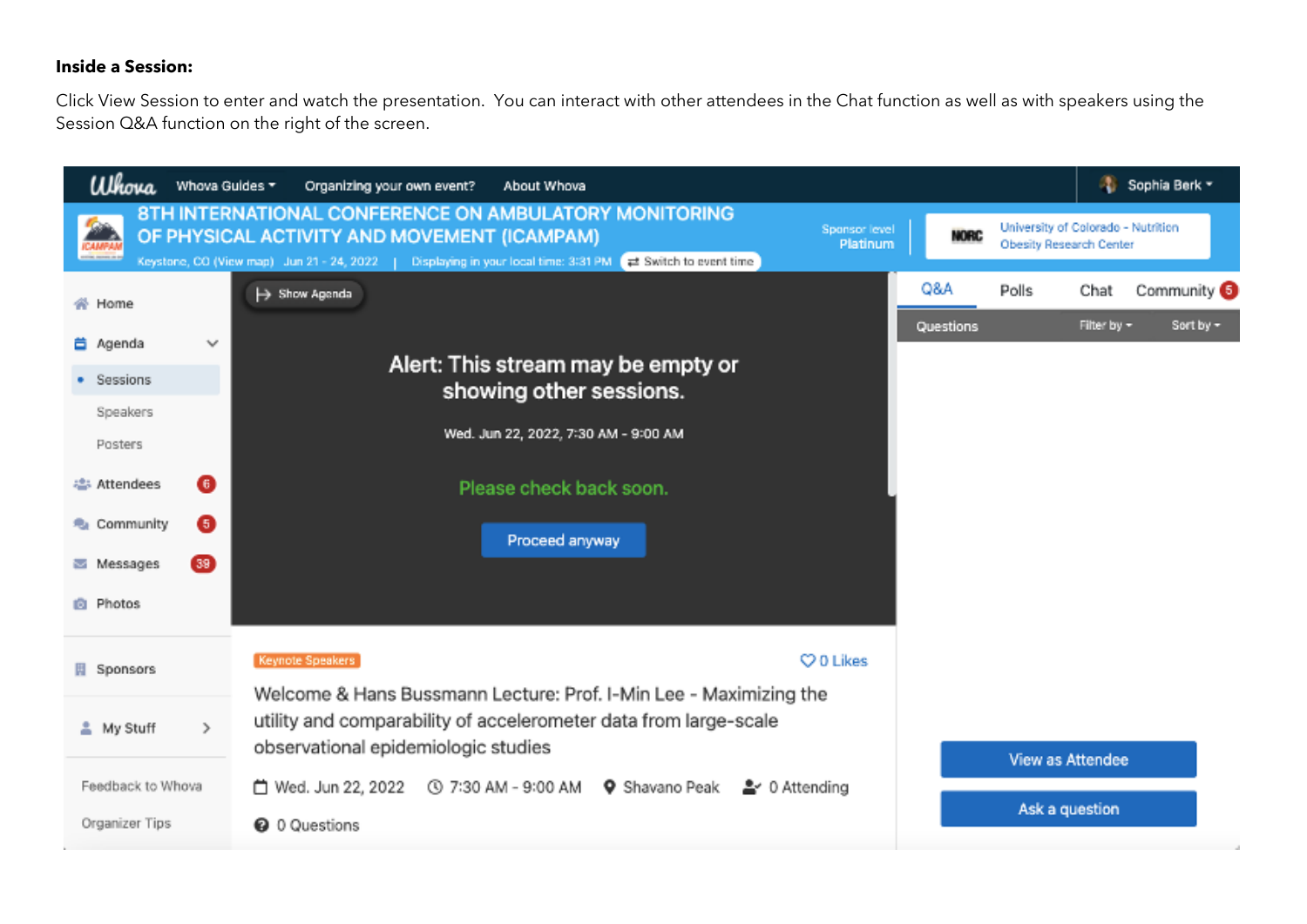# **Inside a Session:**

Click View Session to enter and watch the presentation. You can interact with other attendees in the Chat function as well as with speakers using the Session Q&A function on the right of the screen.

| Whova<br>Whova Guides                  | Organizing your own event?<br>About Whova                                                                                                                                                                                                                            |             | Sophia Berk -                                                        |
|----------------------------------------|----------------------------------------------------------------------------------------------------------------------------------------------------------------------------------------------------------------------------------------------------------------------|-------------|----------------------------------------------------------------------|
| <b>ICAMPAN</b><br><b>COM MORE IN B</b> | 8TH INTERNATIONAL CONFERENCE ON AMBULATORY MONITORING<br>Sponsor level<br>OF PHYSICAL ACTIVITY AND MOVEMENT (ICAMPAM)<br>Platinum<br>Keystone, CO (View map) Jun 21 - 24, 2022   Displaying in your local time: 3:31 PM<br>$\rightleftharpoons$ Switch to event time | <b>NORC</b> | University of Colorado - Nutrition<br><b>Obesity Research Center</b> |
| 帝 Home                                 | $\mapsto$ Show Agenda                                                                                                                                                                                                                                                | Q&A         | Community <sup>6</sup><br>Polls<br>Chat                              |
| 首 Agenda<br>$\checkmark$               |                                                                                                                                                                                                                                                                      | Questions   | Sort by -<br>Filter by -                                             |
| · Sessions                             | Alert: This stream may be empty or                                                                                                                                                                                                                                   |             |                                                                      |
| Speakers                               | showing other sessions.                                                                                                                                                                                                                                              |             |                                                                      |
| Posters                                | Wed. Jun 22, 2022, 7:30 AM - 9:00 AM                                                                                                                                                                                                                                 |             |                                                                      |
| ⊕<br>ㅎ Attendees                       | Please check back soon.                                                                                                                                                                                                                                              |             |                                                                      |
| <b>R</b> e Community<br>€              | Proceed anyway                                                                                                                                                                                                                                                       |             |                                                                      |
| 39<br>Messages                         |                                                                                                                                                                                                                                                                      |             |                                                                      |
| <b>B</b> Photos                        |                                                                                                                                                                                                                                                                      |             |                                                                      |
| Sponsors                               | Keynote Speakers<br>CO Likes                                                                                                                                                                                                                                         |             |                                                                      |
|                                        | Welcome & Hans Bussmann Lecture: Prof. I-Min Lee - Maximizing the                                                                                                                                                                                                    |             |                                                                      |
| $\rightarrow$<br>≗ My Stuff            | utility and comparability of accelerometer data from large-scale                                                                                                                                                                                                     |             |                                                                      |
|                                        | observational epidemiologic studies                                                                                                                                                                                                                                  |             | View as Attendee                                                     |
| Feedback to Whova                      | □ Wed. Jun 22, 2022<br>① 7:30 AM - 9:00 AM<br><b>Q</b> Shavano Peak<br>을 0 Attending                                                                                                                                                                                 |             | Ask a question                                                       |
| Organizer Tips                         | <b>@</b> 0 Questions                                                                                                                                                                                                                                                 |             |                                                                      |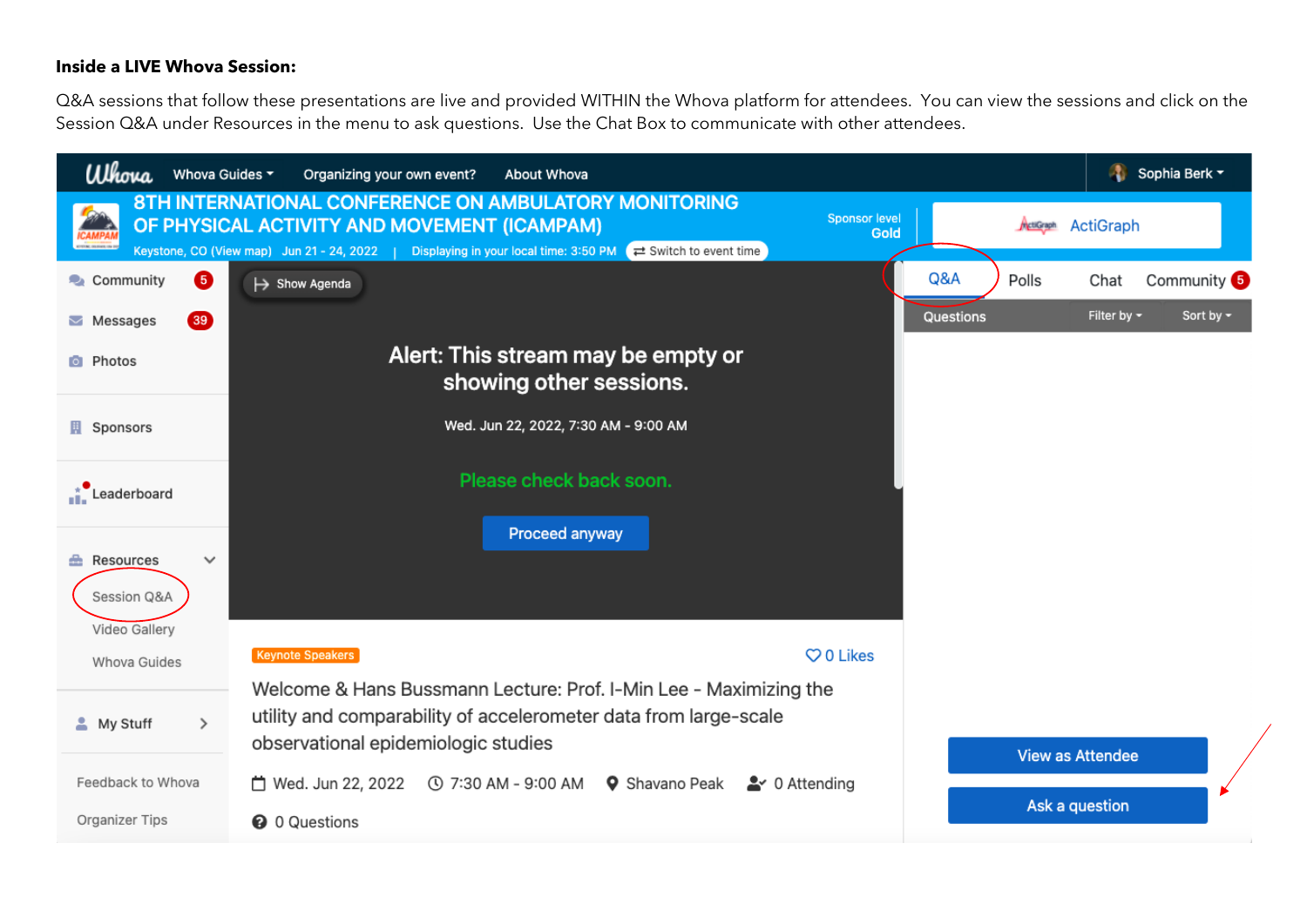#### **Inside a LIVE Whova Session:**

Q&A sessions that follow these presentations are live and provided WITHIN the Whova platform for attendees. You can view the sessions and click on the Session Q&A under Resources in the menu to ask questions. Use the Chat Box to communicate with other attendees.

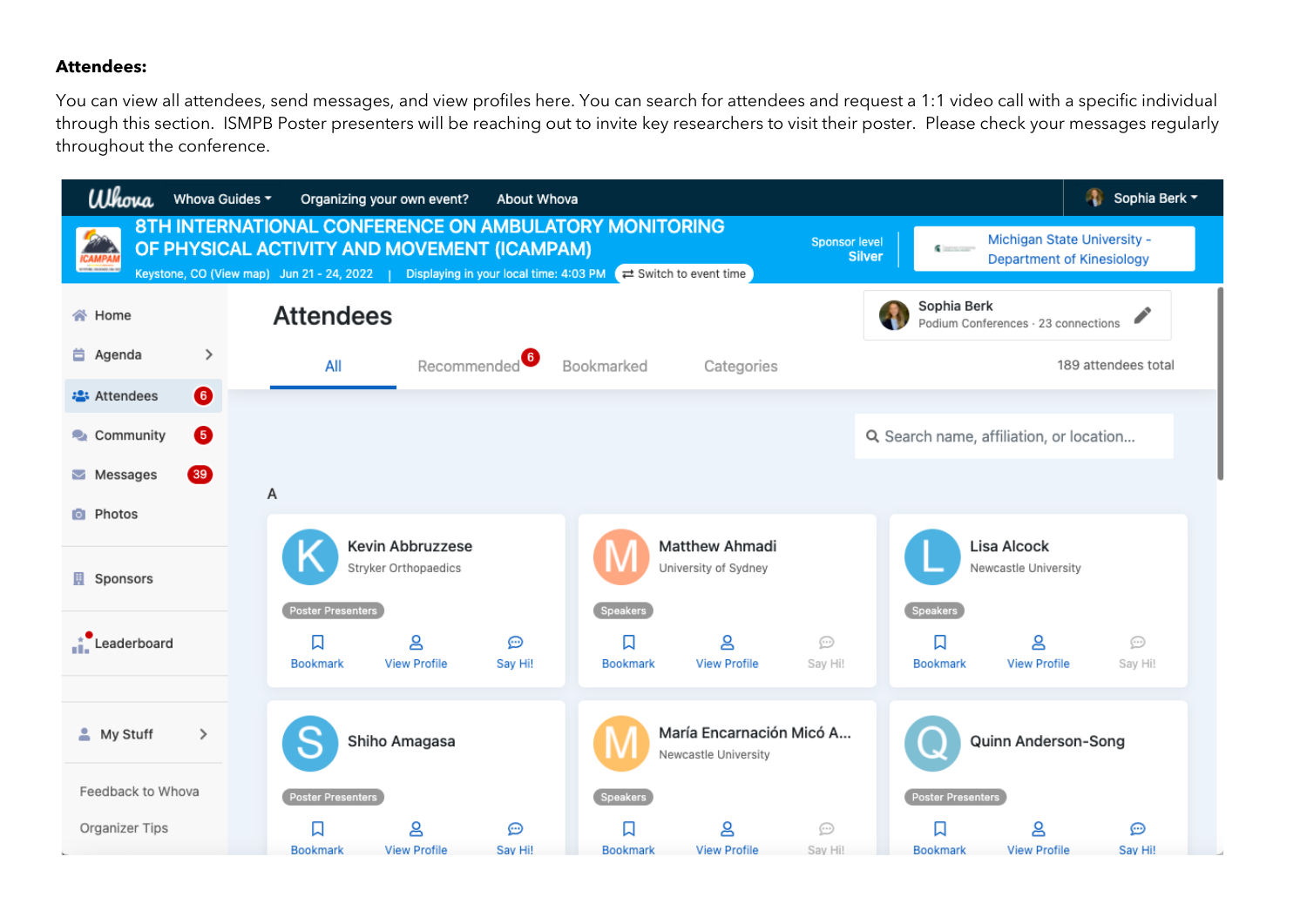#### **Attendees:**

You can view all attendees, send messages, and view profiles here. You can search for attendees and request a 1:1 video call with a specific individual through this section. ISMPB Poster presenters will be reaching out to invite key researchers to visit their poster. Please check your messages regularly throughout the conference.

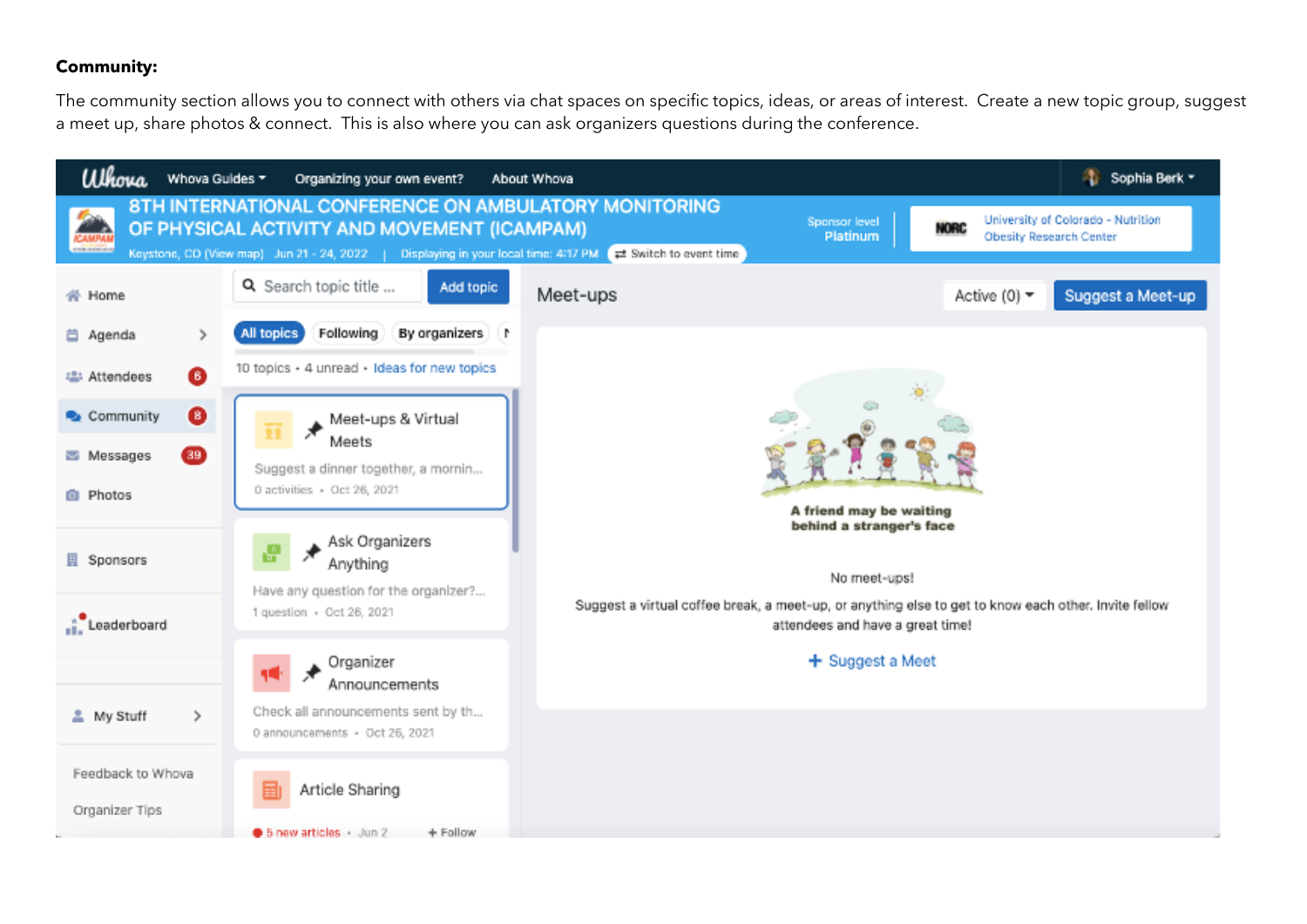#### **Community:**

The community section allows you to connect with others via chat spaces on specific topics, ideas, or areas of interest. Create a new topic group, suggest a meet up, share photos & connect. This is also where you can ask organizers questions during the conference.

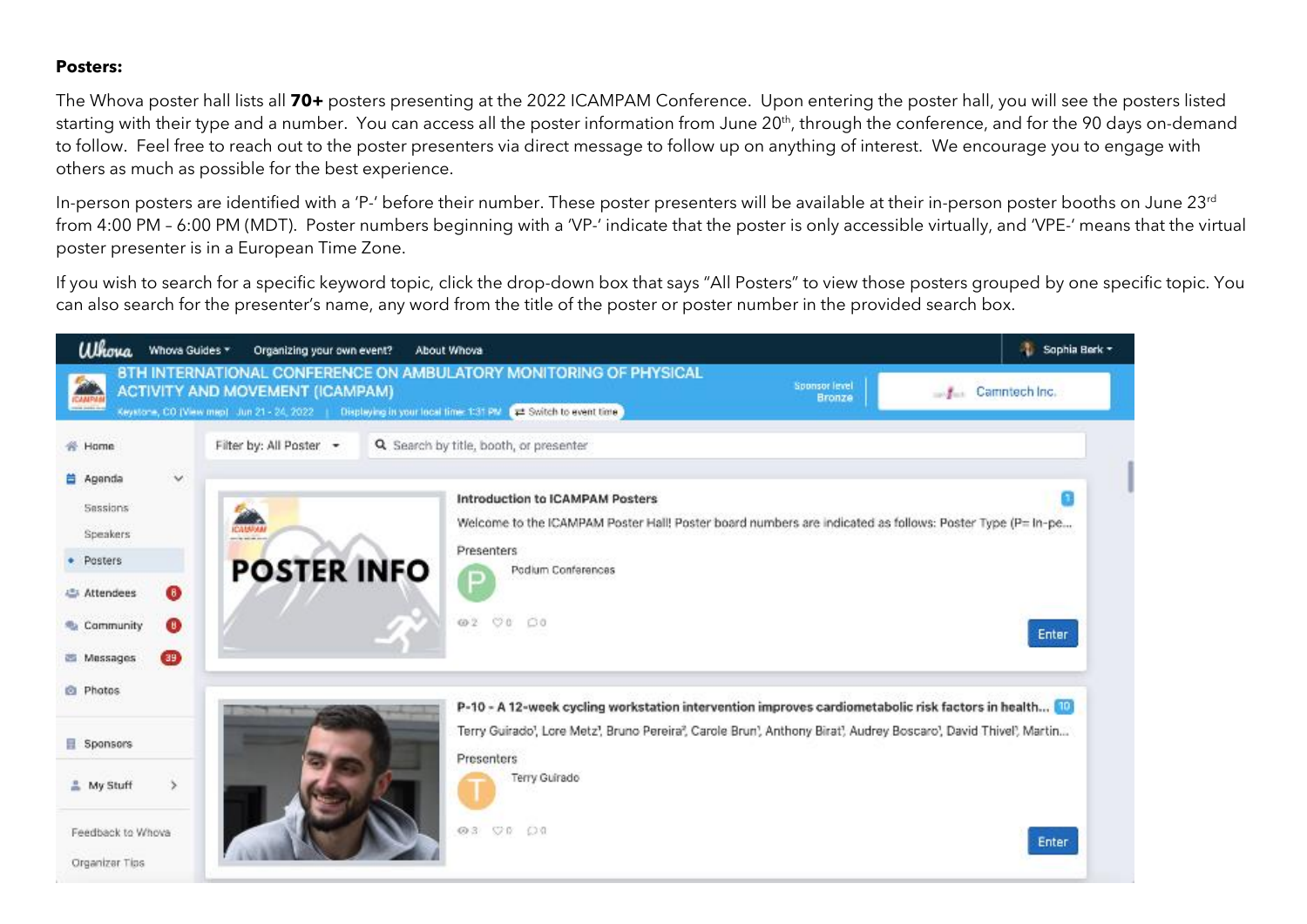### **Posters:**

The Whova poster hall lists all **70+** posters presenting at the 2022 ICAMPAM Conference. Upon entering the poster hall, you will see the posters listed starting with their type and a number. You can access all the poster information from June 20<sup>th</sup>, through the conference, and for the 90 days on-demand to follow. Feel free to reach out to the poster presenters via direct message to follow up on anything of interest. We encourage you to engage with others as much as possible for the best experience.

In-person posters are identified with a 'P-' before their number. These poster presenters will be available at their in-person poster booths on June 23<sup>rd</sup> from 4:00 PM – 6:00 PM (MDT). Poster numbers beginning with a 'VP-' indicate that the poster is only accessible virtually, and 'VPE-' means that the virtual poster presenter is in a European Time Zone.

If you wish to search for a specific keyword topic, click the drop-down box that says "All Posters" to view those posters grouped by one specific topic. You can also search for the presenter's name, any word from the title of the poster or poster number in the provided search box.